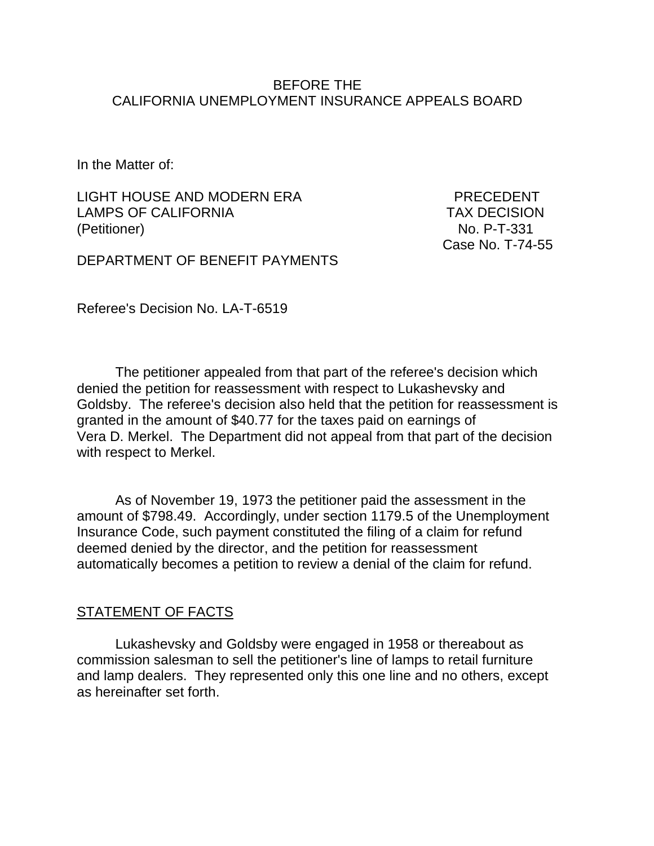### BEFORE THE CALIFORNIA UNEMPLOYMENT INSURANCE APPEALS BOARD

In the Matter of:

LIGHT HOUSE AND MODERN ERA PRECEDENT LAMPS OF CALIFORNIA TAX DECISION (Petitioner) No. P-T-331

Case No. T-74-55

DEPARTMENT OF BENEFIT PAYMENTS

Referee's Decision No. LA-T-6519

The petitioner appealed from that part of the referee's decision which denied the petition for reassessment with respect to Lukashevsky and Goldsby. The referee's decision also held that the petition for reassessment is granted in the amount of \$40.77 for the taxes paid on earnings of Vera D. Merkel. The Department did not appeal from that part of the decision with respect to Merkel.

As of November 19, 1973 the petitioner paid the assessment in the amount of \$798.49. Accordingly, under section 1179.5 of the Unemployment Insurance Code, such payment constituted the filing of a claim for refund deemed denied by the director, and the petition for reassessment automatically becomes a petition to review a denial of the claim for refund.

### STATEMENT OF FACTS

Lukashevsky and Goldsby were engaged in 1958 or thereabout as commission salesman to sell the petitioner's line of lamps to retail furniture and lamp dealers. They represented only this one line and no others, except as hereinafter set forth.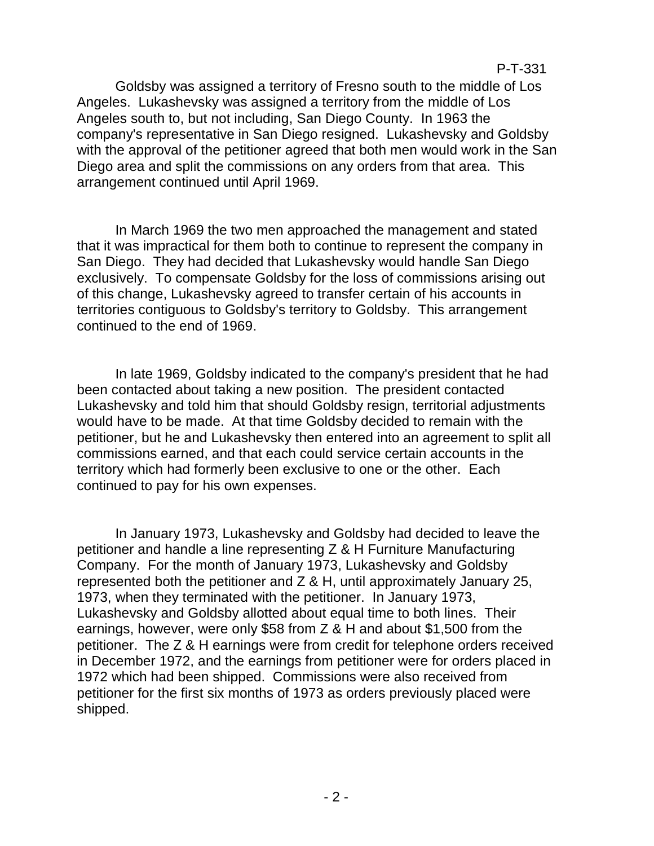Goldsby was assigned a territory of Fresno south to the middle of Los Angeles. Lukashevsky was assigned a territory from the middle of Los Angeles south to, but not including, San Diego County. In 1963 the company's representative in San Diego resigned. Lukashevsky and Goldsby with the approval of the petitioner agreed that both men would work in the San Diego area and split the commissions on any orders from that area. This arrangement continued until April 1969.

In March 1969 the two men approached the management and stated that it was impractical for them both to continue to represent the company in San Diego. They had decided that Lukashevsky would handle San Diego exclusively. To compensate Goldsby for the loss of commissions arising out of this change, Lukashevsky agreed to transfer certain of his accounts in territories contiguous to Goldsby's territory to Goldsby. This arrangement continued to the end of 1969.

In late 1969, Goldsby indicated to the company's president that he had been contacted about taking a new position. The president contacted Lukashevsky and told him that should Goldsby resign, territorial adjustments would have to be made. At that time Goldsby decided to remain with the petitioner, but he and Lukashevsky then entered into an agreement to split all commissions earned, and that each could service certain accounts in the territory which had formerly been exclusive to one or the other. Each continued to pay for his own expenses.

In January 1973, Lukashevsky and Goldsby had decided to leave the petitioner and handle a line representing Z & H Furniture Manufacturing Company. For the month of January 1973, Lukashevsky and Goldsby represented both the petitioner and Z & H, until approximately January 25, 1973, when they terminated with the petitioner. In January 1973, Lukashevsky and Goldsby allotted about equal time to both lines. Their earnings, however, were only \$58 from Z & H and about \$1,500 from the petitioner. The Z & H earnings were from credit for telephone orders received in December 1972, and the earnings from petitioner were for orders placed in 1972 which had been shipped. Commissions were also received from petitioner for the first six months of 1973 as orders previously placed were shipped.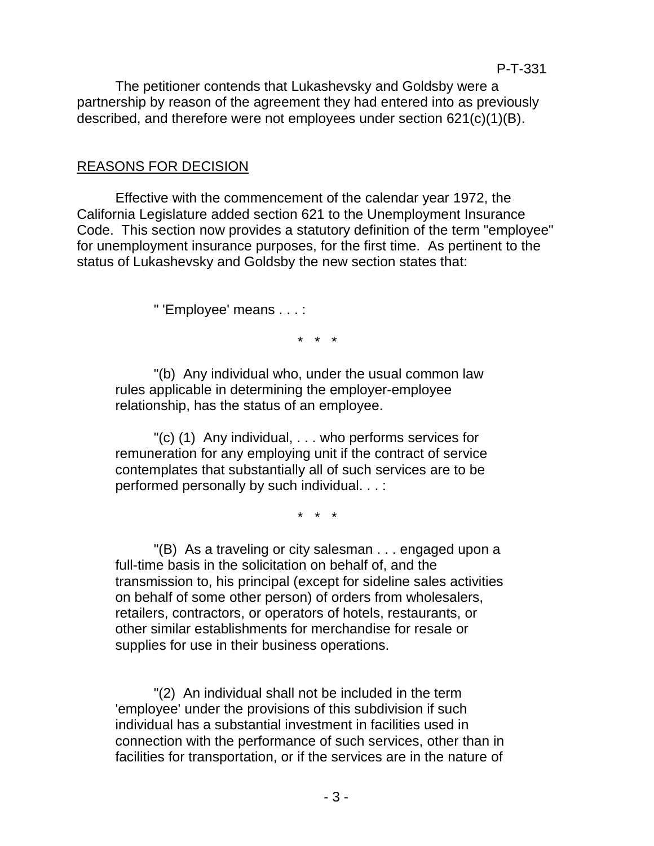The petitioner contends that Lukashevsky and Goldsby were a partnership by reason of the agreement they had entered into as previously described, and therefore were not employees under section 621(c)(1)(B).

# REASONS FOR DECISION

Effective with the commencement of the calendar year 1972, the California Legislature added section 621 to the Unemployment Insurance Code. This section now provides a statutory definition of the term "employee" for unemployment insurance purposes, for the first time. As pertinent to the status of Lukashevsky and Goldsby the new section states that:

" 'Employee' means . . . :

\* \* \*

"(b) Any individual who, under the usual common law rules applicable in determining the employer-employee relationship, has the status of an employee.

"(c) (1) Any individual, . . . who performs services for remuneration for any employing unit if the contract of service contemplates that substantially all of such services are to be performed personally by such individual. . . :

\* \* \*

"(B) As a traveling or city salesman . . . engaged upon a full-time basis in the solicitation on behalf of, and the transmission to, his principal (except for sideline sales activities on behalf of some other person) of orders from wholesalers, retailers, contractors, or operators of hotels, restaurants, or other similar establishments for merchandise for resale or supplies for use in their business operations.

"(2) An individual shall not be included in the term 'employee' under the provisions of this subdivision if such individual has a substantial investment in facilities used in connection with the performance of such services, other than in facilities for transportation, or if the services are in the nature of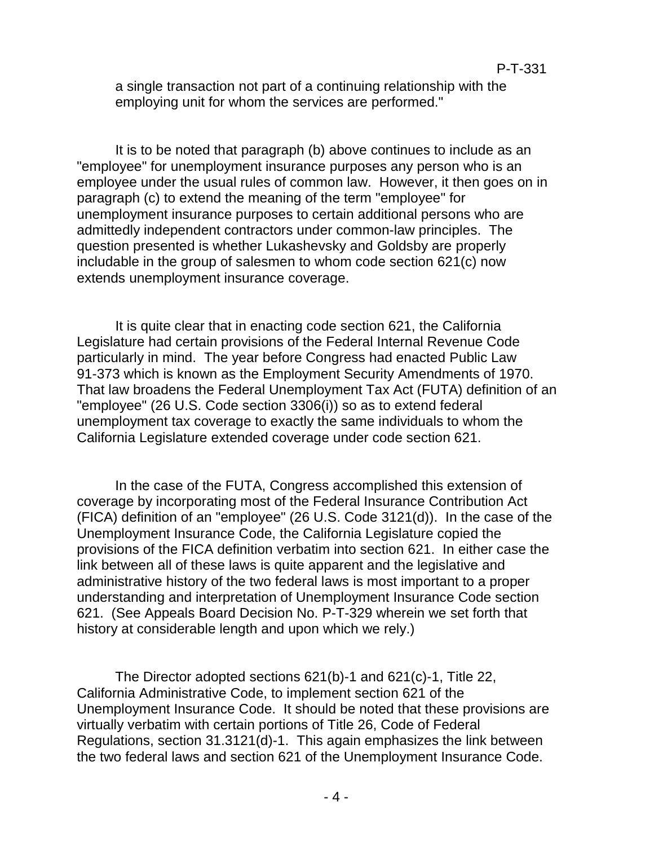a single transaction not part of a continuing relationship with the employing unit for whom the services are performed."

It is to be noted that paragraph (b) above continues to include as an "employee" for unemployment insurance purposes any person who is an employee under the usual rules of common law. However, it then goes on in paragraph (c) to extend the meaning of the term "employee" for unemployment insurance purposes to certain additional persons who are admittedly independent contractors under common-law principles. The question presented is whether Lukashevsky and Goldsby are properly includable in the group of salesmen to whom code section 621(c) now extends unemployment insurance coverage.

It is quite clear that in enacting code section 621, the California Legislature had certain provisions of the Federal Internal Revenue Code particularly in mind. The year before Congress had enacted Public Law 91-373 which is known as the Employment Security Amendments of 1970. That law broadens the Federal Unemployment Tax Act (FUTA) definition of an "employee" (26 U.S. Code section 3306(i)) so as to extend federal unemployment tax coverage to exactly the same individuals to whom the California Legislature extended coverage under code section 621.

In the case of the FUTA, Congress accomplished this extension of coverage by incorporating most of the Federal Insurance Contribution Act (FICA) definition of an "employee" (26 U.S. Code 3121(d)). In the case of the Unemployment Insurance Code, the California Legislature copied the provisions of the FICA definition verbatim into section 621. In either case the link between all of these laws is quite apparent and the legislative and administrative history of the two federal laws is most important to a proper understanding and interpretation of Unemployment Insurance Code section 621. (See Appeals Board Decision No. P-T-329 wherein we set forth that history at considerable length and upon which we rely.)

The Director adopted sections 621(b)-1 and 621(c)-1, Title 22, California Administrative Code, to implement section 621 of the Unemployment Insurance Code. It should be noted that these provisions are virtually verbatim with certain portions of Title 26, Code of Federal Regulations, section 31.3121(d)-1. This again emphasizes the link between the two federal laws and section 621 of the Unemployment Insurance Code.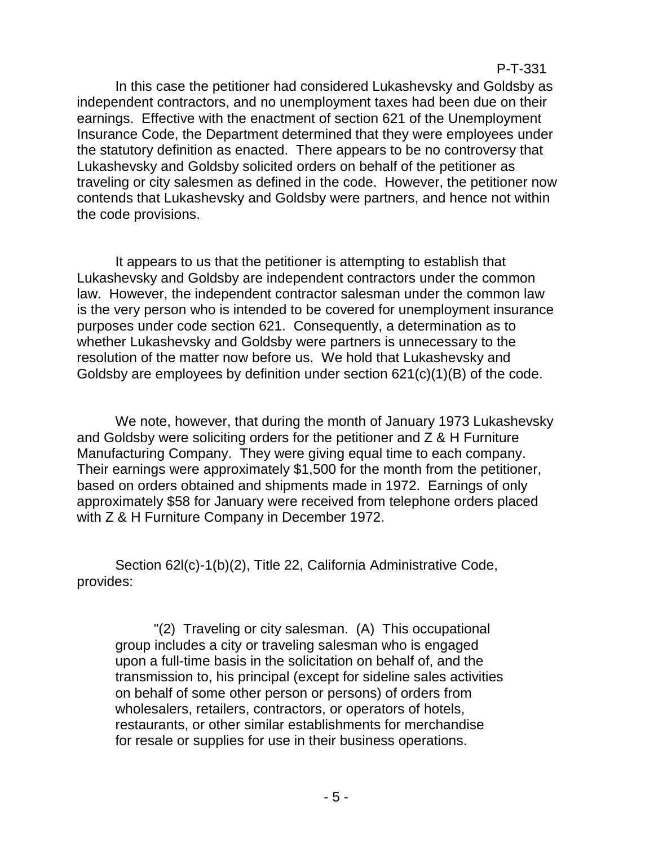In this case the petitioner had considered Lukashevsky and Goldsby as independent contractors, and no unemployment taxes had been due on their earnings. Effective with the enactment of section 621 of the Unemployment Insurance Code, the Department determined that they were employees under the statutory definition as enacted. There appears to be no controversy that Lukashevsky and Goldsby solicited orders on behalf of the petitioner as traveling or city salesmen as defined in the code. However, the petitioner now contends that Lukashevsky and Goldsby were partners, and hence not within the code provisions.

It appears to us that the petitioner is attempting to establish that Lukashevsky and Goldsby are independent contractors under the common law. However, the independent contractor salesman under the common law is the very person who is intended to be covered for unemployment insurance purposes under code section 621. Consequently, a determination as to whether Lukashevsky and Goldsby were partners is unnecessary to the resolution of the matter now before us. We hold that Lukashevsky and Goldsby are employees by definition under section 621(c)(1)(B) of the code.

We note, however, that during the month of January 1973 Lukashevsky and Goldsby were soliciting orders for the petitioner and  $\overline{Z}$  & H Furniture Manufacturing Company. They were giving equal time to each company. Their earnings were approximately \$1,500 for the month from the petitioner, based on orders obtained and shipments made in 1972. Earnings of only approximately \$58 for January were received from telephone orders placed with Z & H Furniture Company in December 1972.

Section 62l(c)-1(b)(2), Title 22, California Administrative Code, provides:

"(2) Traveling or city salesman. (A) This occupational group includes a city or traveling salesman who is engaged upon a full-time basis in the solicitation on behalf of, and the transmission to, his principal (except for sideline sales activities on behalf of some other person or persons) of orders from wholesalers, retailers, contractors, or operators of hotels, restaurants, or other similar establishments for merchandise for resale or supplies for use in their business operations.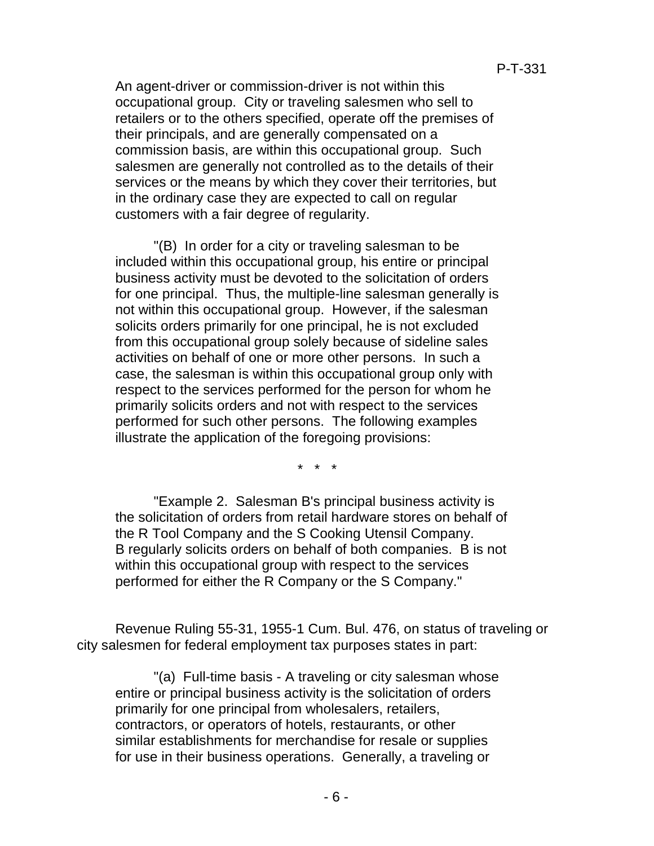An agent-driver or commission-driver is not within this occupational group. City or traveling salesmen who sell to retailers or to the others specified, operate off the premises of their principals, and are generally compensated on a commission basis, are within this occupational group. Such salesmen are generally not controlled as to the details of their services or the means by which they cover their territories, but in the ordinary case they are expected to call on regular customers with a fair degree of regularity.

"(B) In order for a city or traveling salesman to be included within this occupational group, his entire or principal business activity must be devoted to the solicitation of orders for one principal. Thus, the multiple-line salesman generally is not within this occupational group. However, if the salesman solicits orders primarily for one principal, he is not excluded from this occupational group solely because of sideline sales activities on behalf of one or more other persons. In such a case, the salesman is within this occupational group only with respect to the services performed for the person for whom he primarily solicits orders and not with respect to the services performed for such other persons. The following examples illustrate the application of the foregoing provisions:

\* \* \*

"Example 2. Salesman B's principal business activity is the solicitation of orders from retail hardware stores on behalf of the R Tool Company and the S Cooking Utensil Company. B regularly solicits orders on behalf of both companies. B is not within this occupational group with respect to the services performed for either the R Company or the S Company."

Revenue Ruling 55-31, 1955-1 Cum. Bul. 476, on status of traveling or city salesmen for federal employment tax purposes states in part:

"(a) Full-time basis - A traveling or city salesman whose entire or principal business activity is the solicitation of orders primarily for one principal from wholesalers, retailers, contractors, or operators of hotels, restaurants, or other similar establishments for merchandise for resale or supplies for use in their business operations. Generally, a traveling or